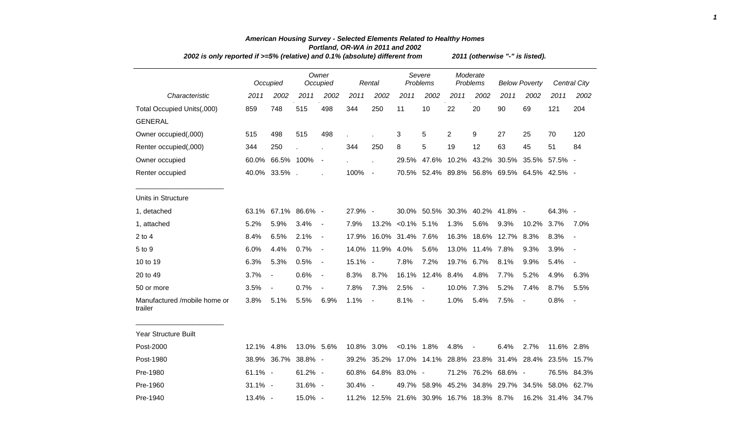|                                         | 2002 is only reported if >=5% (relative) and 0.1% (absolute) different from |                |               |                   |            |                |                  |                                          |                |                          | 2011 (otherwise "-" is listed). |                                             |                   |                          |  |  |  |  |  |
|-----------------------------------------|-----------------------------------------------------------------------------|----------------|---------------|-------------------|------------|----------------|------------------|------------------------------------------|----------------|--------------------------|---------------------------------|---------------------------------------------|-------------------|--------------------------|--|--|--|--|--|
|                                         |                                                                             | Occupied       |               | Owner<br>Occupied |            | Rental         |                  | Severe<br>Problems                       |                | Moderate<br>Problems     |                                 | <b>Below Poverty</b>                        |                   | <b>Central City</b>      |  |  |  |  |  |
| Characteristic                          | 2011                                                                        | 2002           | 2011          | 2002              | 2011       | 2002           | 2011             | 2002                                     | 2011           | 2002                     | 2011                            | 2002                                        | 2011              | 2002                     |  |  |  |  |  |
| Total Occupied Units(,000)              | 859                                                                         | 748            | 515           | 498               | 344        | 250            | 11               | 10                                       | 22             | 20                       | 90                              | 69                                          | 121               | 204                      |  |  |  |  |  |
| <b>GENERAL</b>                          |                                                                             |                |               |                   |            |                |                  |                                          |                |                          |                                 |                                             |                   |                          |  |  |  |  |  |
| Owner occupied(,000)                    | 515                                                                         | 498            | 515           | 498               |            |                | 3                | 5                                        | $\overline{2}$ | 9                        | 27                              | 25                                          | 70                | 120                      |  |  |  |  |  |
| Renter occupied(,000)                   | 344                                                                         | 250            |               |                   | 344        | 250            | 8                | 5                                        | 19             | 12                       | 63                              | 45                                          | 51                | 84                       |  |  |  |  |  |
| Owner occupied                          | 60.0%                                                                       | 66.5% 100%     |               | $\sim$            |            |                | 29.5%            |                                          |                |                          |                                 | 47.6% 10.2% 43.2% 30.5% 35.5% 57.5% -       |                   |                          |  |  |  |  |  |
| Renter occupied                         |                                                                             | 40.0% 33.5%.   |               |                   | 100% -     |                |                  |                                          |                |                          |                                 | 70.5% 52.4% 89.8% 56.8% 69.5% 64.5% 42.5% - |                   |                          |  |  |  |  |  |
| Units in Structure                      |                                                                             |                |               |                   |            |                |                  |                                          |                |                          |                                 |                                             |                   |                          |  |  |  |  |  |
| 1, detached                             | 63.1%                                                                       |                | 67.1% 86.6% - |                   | 27.9% -    |                |                  | 30.0% 50.5% 30.3% 40.2% 41.8% -          |                |                          |                                 |                                             | 64.3% -           |                          |  |  |  |  |  |
| 1, attached                             | 5.2%                                                                        | 5.9%           | 3.4%          | $\blacksquare$    | 7.9%       | 13.2%          | $< 0.1\%$ 5.1%   |                                          | 1.3%           | 5.6%                     | 9.3%                            | 10.2%                                       | 3.7%              | 7.0%                     |  |  |  |  |  |
| $2$ to 4                                | 8.4%                                                                        | 6.5%           | 2.1%          | $\blacksquare$    | 17.9%      |                | 16.0% 31.4% 7.6% |                                          | 16.3%          |                          | 18.6% 12.7%                     | 8.3%                                        | 8.3%              | $\overline{a}$           |  |  |  |  |  |
| 5 to 9                                  | 6.0%                                                                        | 4.4%           | 0.7%          | $\blacksquare$    |            | 14.0% 11.9%    | 4.0%             | 5.6%                                     | 13.0%          | 11.4% 7.8%               |                                 | 9.3%                                        | 3.9%              | $\overline{\phantom{a}}$ |  |  |  |  |  |
| 10 to 19                                | 6.3%                                                                        | 5.3%           | 0.5%          | $\blacksquare$    | 15.1% -    |                | 7.8%             | 7.2%                                     | 19.7%          | 6.7%                     | 8.1%                            | 9.9%                                        | 5.4%              | $\blacksquare$           |  |  |  |  |  |
| 20 to 49                                | 3.7%                                                                        | $\frac{1}{2}$  | 0.6%          | $\blacksquare$    | 8.3%       | 8.7%           | 16.1%            | 12.4%                                    | 8.4%           | 4.8%                     | 7.7%                            | 5.2%                                        | 4.9%              | 6.3%                     |  |  |  |  |  |
| 50 or more                              | 3.5%                                                                        | $\blacksquare$ | 0.7%          | $\blacksquare$    | 7.8%       | 7.3%           | 2.5%             | $\overline{\phantom{a}}$                 | 10.0%          | 7.3%                     | 5.2%                            | 7.4%                                        | 8.7%              | 5.5%                     |  |  |  |  |  |
| Manufactured /mobile home or<br>trailer | 3.8%                                                                        | 5.1%           | 5.5%          | 6.9%              | 1.1%       | $\blacksquare$ | 8.1%             | $\overline{\phantom{a}}$                 | 1.0%           | 5.4%                     | 7.5%                            | $\overline{\phantom{a}}$                    | 0.8%              | $\overline{\phantom{a}}$ |  |  |  |  |  |
| Year Structure Built                    |                                                                             |                |               |                   |            |                |                  |                                          |                |                          |                                 |                                             |                   |                          |  |  |  |  |  |
| Post-2000                               | 12.1% 4.8%                                                                  |                | 13.0% 5.6%    |                   | 10.8% 3.0% |                | $< 0.1\%$ 1.8%   |                                          | 4.8%           | $\overline{\phantom{a}}$ | 6.4%                            | 2.7%                                        | 11.6% 2.8%        |                          |  |  |  |  |  |
| Post-1980                               |                                                                             | 38.9% 36.7%    | 38.8% -       |                   |            | 39.2% 35.2%    |                  | 17.0% 14.1%                              |                |                          |                                 | 28.8% 23.8% 31.4% 28.4%                     |                   | 23.5% 15.7%              |  |  |  |  |  |
| Pre-1980                                | 61.1% -                                                                     |                | 61.2% -       |                   |            | 60.8% 64.8%    | 83.0% -          |                                          |                |                          | 71.2% 76.2% 68.6% -             |                                             |                   | 76.5% 84.3%              |  |  |  |  |  |
| Pre-1960                                | $31.1\%$ -                                                                  |                | $31.6\%$ -    |                   | 30.4% -    |                | 49.7%            | 58.9%                                    |                |                          |                                 | 45.2% 34.8% 29.7% 34.5%                     | 58.0% 62.7%       |                          |  |  |  |  |  |
| Pre-1940                                | $13.4\%$ -                                                                  |                | 15.0% -       |                   |            |                |                  | 11.2% 12.5% 21.6% 30.9% 16.7% 18.3% 8.7% |                |                          |                                 |                                             | 16.2% 31.4% 34.7% |                          |  |  |  |  |  |

## *American Housing Survey - Selected Elements Related to Healthy Homes Portland, OR-WA in 2011 and 2002*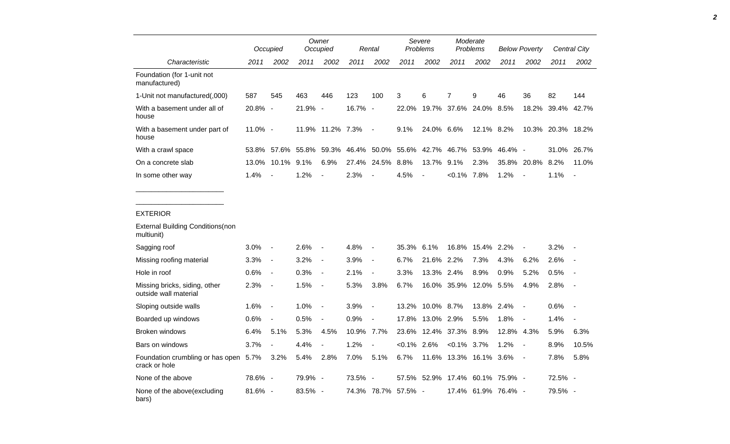|                                                        |         | Occupied                 |                   | Owner<br>Occupied        |                   | Rental                   | Severe<br><b>Problems</b> |                | Moderate<br>Problems |                                 | <b>Below Poverty</b> |                          | Central City      |                          |
|--------------------------------------------------------|---------|--------------------------|-------------------|--------------------------|-------------------|--------------------------|---------------------------|----------------|----------------------|---------------------------------|----------------------|--------------------------|-------------------|--------------------------|
| Characteristic                                         | 2011    | 2002                     | 2011              | 2002                     | 2011              | 2002                     | 2011                      | 2002           | 2011                 | 2002                            | 2011                 | 2002                     | 2011              | 2002                     |
| Foundation (for 1-unit not<br>manufactured)            |         |                          |                   |                          |                   |                          |                           |                |                      |                                 |                      |                          |                   |                          |
| 1-Unit not manufactured(,000)                          | 587     | 545                      | 463               | 446                      | 123               | 100                      | 3                         | 6              | $\overline{7}$       | 9                               | 46                   | 36                       | 82                | 144                      |
| With a basement under all of<br>house                  | 20.8% - |                          | 21.9% -           |                          | 16.7% -           |                          | 22.0%                     |                |                      | 19.7% 37.6% 24.0% 8.5%          |                      | 18.2%                    | 39.4%             | 42.7%                    |
| With a basement under part of<br>house                 | 11.0% - |                          |                   | 11.9% 11.2% 7.3%         |                   | $\overline{\phantom{a}}$ | 9.1%                      | 24.0% 6.6%     |                      | 12.1% 8.2%                      |                      |                          | 10.3% 20.3% 18.2% |                          |
| With a crawl space                                     | 53.8%   |                          | 57.6% 55.8% 59.3% |                          | 46.4% 50.0% 55.6% |                          |                           |                | 42.7% 46.7% 53.9%    |                                 | 46.4% -              |                          |                   | 31.0% 26.7%              |
| On a concrete slab                                     | 13.0%   | 10.1% 9.1%               |                   | 6.9%                     |                   | 27.4% 24.5%              | 8.8%                      | 13.7% 9.1%     |                      | 2.3%                            |                      | 35.8% 20.8%              | 8.2%              | 11.0%                    |
| In some other way                                      | 1.4%    | $\overline{\phantom{a}}$ | 1.2%              | $\overline{\phantom{a}}$ | 2.3%              |                          | 4.5%                      | $\overline{a}$ | $< 0.1\%$ 7.8%       |                                 | 1.2%                 | $\blacksquare$           | 1.1%              | $\blacksquare$           |
| <b>EXTERIOR</b>                                        |         |                          |                   |                          |                   |                          |                           |                |                      |                                 |                      |                          |                   |                          |
| <b>External Building Conditions (non</b><br>multiunit) |         |                          |                   |                          |                   |                          |                           |                |                      |                                 |                      |                          |                   |                          |
| Sagging roof                                           | 3.0%    | $\blacksquare$           | 2.6%              | $\overline{\phantom{a}}$ | 4.8%              |                          | 35.3%                     | 6.1%           | 16.8%                | 15.4%                           | 2.2%                 |                          | 3.2%              |                          |
| Missing roofing material                               | 3.3%    | $\blacksquare$           | 3.2%              | $\overline{\phantom{a}}$ | 3.9%              |                          | 6.7%                      | 21.6% 2.2%     |                      | 7.3%                            | 4.3%                 | 6.2%                     | 2.6%              |                          |
| Hole in roof                                           | 0.6%    | $\blacksquare$           | 0.3%              | $\overline{\phantom{a}}$ | 2.1%              | $\blacksquare$           | 3.3%                      | 13.3% 2.4%     |                      | 8.9%                            | 0.9%                 | 5.2%                     | 0.5%              |                          |
| Missing bricks, siding, other<br>outside wall material | 2.3%    | $\overline{\phantom{a}}$ | 1.5%              | $\overline{\phantom{a}}$ | 5.3%              | 3.8%                     | 6.7%                      |                |                      | 16.0% 35.9% 12.0% 5.5%          |                      | 4.9%                     | 2.8%              | $\overline{\phantom{a}}$ |
| Sloping outside walls                                  | 1.6%    | $\blacksquare$           | 1.0%              | $\blacksquare$           | 3.9%              | $\blacksquare$           | 13.2%                     | 10.0% 8.7%     |                      | 13.8%                           | 2.4%                 | $\overline{\phantom{a}}$ | 0.6%              | $\overline{\phantom{a}}$ |
| Boarded up windows                                     | 0.6%    | $\overline{\phantom{a}}$ | 0.5%              | $\overline{a}$           | 0.9%              | $\blacksquare$           | 17.8%                     | 13.0% 2.9%     |                      | 5.5%                            | 1.8%                 | $\overline{\phantom{a}}$ | 1.4%              |                          |
| Broken windows                                         | 6.4%    | 5.1%                     | 5.3%              | 4.5%                     | 10.9% 7.7%        |                          | 23.6%                     |                | 12.4% 37.3%          | 8.9%                            | 12.8% 4.3%           |                          | 5.9%              | 6.3%                     |
| Bars on windows                                        | 3.7%    | $\overline{\phantom{a}}$ | 4.4%              | $\overline{\phantom{a}}$ | 1.2%              | $\overline{\phantom{a}}$ | $< 0.1\%$ 2.6%            |                | $< 0.1\%$ 3.7%       |                                 | 1.2%                 | $\blacksquare$           | 8.9%              | 10.5%                    |
| Foundation crumbling or has open 5.7%<br>crack or hole |         | 3.2%                     | 5.4%              | 2.8%                     | 7.0%              | 5.1%                     | 6.7%                      |                |                      | 11.6% 13.3% 16.1% 3.6%          |                      | $\overline{a}$           | 7.8%              | 5.8%                     |
| None of the above                                      | 78.6% - |                          | 79.9% -           |                          | 73.5% -           |                          |                           |                |                      | 57.5% 52.9% 17.4% 60.1% 75.9% - |                      |                          | 72.5% -           |                          |
| None of the above(excluding<br>bars)                   | 81.6% - |                          | 83.5% -           |                          |                   |                          | 74.3% 78.7% 57.5% -       |                |                      | 17.4% 61.9% 76.4% -             |                      |                          | 79.5% -           |                          |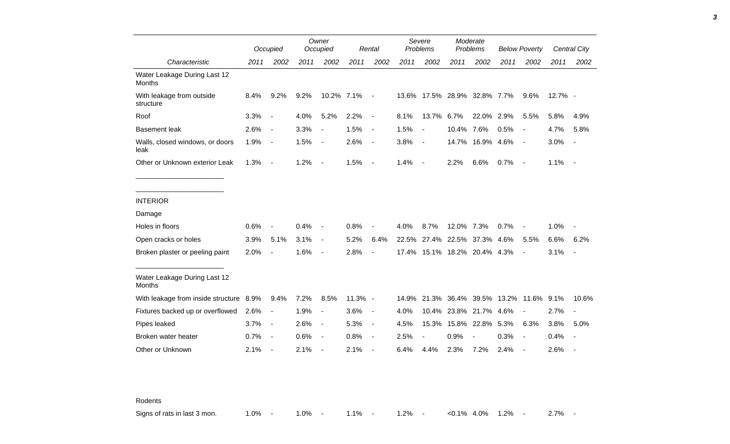|                                         |      | Occupied                 |      | Owner<br>Occupied        |           | Rental                   |       | Severe<br>Problems           |                        | Moderate<br>Problems | <b>Below Poverty</b>          |                          |         | <b>Central City</b> |
|-----------------------------------------|------|--------------------------|------|--------------------------|-----------|--------------------------|-------|------------------------------|------------------------|----------------------|-------------------------------|--------------------------|---------|---------------------|
| Characteristic                          | 2011 | 2002                     | 2011 | 2002                     | 2011      | 2002                     | 2011  | 2002                         | 2011                   | 2002                 | 2011                          | 2002                     | 2011    | 2002                |
| Water Leakage During Last 12<br>Months  |      |                          |      |                          |           |                          |       |                              |                        |                      |                               |                          |         |                     |
| With leakage from outside<br>structure  | 8.4% | 9.2%                     | 9.2% | 10.2% 7.1%               |           | $\overline{\phantom{a}}$ |       | 13.6% 17.5% 28.9% 32.8% 7.7% |                        |                      |                               | 9.6%                     | 12.7% - |                     |
| Roof                                    | 3.3% | $\overline{\phantom{a}}$ | 4.0% | 5.2%                     | 2.2%      | $\blacksquare$           | 8.1%  | 13.7%                        | 6.7%                   | 22.0%                | 2.9%                          | 5.5%                     | 5.8%    | 4.9%                |
| <b>Basement leak</b>                    | 2.6% | $\overline{\phantom{a}}$ | 3.3% | $\overline{\phantom{a}}$ | 1.5%      | $\blacksquare$           | 1.5%  | $\blacksquare$               | 10.4%                  | 7.6%                 | 0.5%                          | $\overline{\phantom{a}}$ | 4.7%    | 5.8%                |
| Walls, closed windows, or doors<br>leak | 1.9% | $\overline{\phantom{a}}$ | 1.5% | $\overline{\phantom{a}}$ | 2.6%      | $\overline{\phantom{a}}$ | 3.8%  | $\blacksquare$               |                        | 14.7% 16.9% 4.6%     |                               | $\blacksquare$           | 3.0%    | $\blacksquare$      |
| Other or Unknown exterior Leak          | 1.3% | $\blacksquare$           | 1.2% | $\overline{\phantom{a}}$ | 1.5%      | $\overline{\phantom{a}}$ | 1.4%  | $\overline{\phantom{a}}$     | 2.2%                   | 6.6%                 | 0.7%                          | $\blacksquare$           | 1.1%    | $\blacksquare$      |
|                                         |      |                          |      |                          |           |                          |       |                              |                        |                      |                               |                          |         |                     |
| <b>INTERIOR</b>                         |      |                          |      |                          |           |                          |       |                              |                        |                      |                               |                          |         |                     |
| Damage                                  |      |                          |      |                          |           |                          |       |                              |                        |                      |                               |                          |         |                     |
| Holes in floors                         | 0.6% |                          | 0.4% | $\blacksquare$           | 0.8%      |                          | 4.0%  | 8.7%                         | 12.0% 7.3%             |                      | 0.7%                          |                          | 1.0%    |                     |
| Open cracks or holes                    | 3.9% | 5.1%                     | 3.1% | $\blacksquare$           | 5.2%      | 6.4%                     | 22.5% | 27.4%                        | 22.5%                  | 37.3%                | 4.6%                          | 5.5%                     | 6.6%    | 6.2%                |
| Broken plaster or peeling paint         | 2.0% |                          | 1.6% | $\overline{\phantom{a}}$ | 2.8%      | $\overline{a}$           | 17.4% |                              | 15.1% 18.2% 20.4% 4.3% |                      |                               | $\blacksquare$           | 3.1%    | $\blacksquare$      |
| Water Leakage During Last 12<br>Months  |      |                          |      |                          |           |                          |       |                              |                        |                      |                               |                          |         |                     |
| With leakage from inside structure 8.9% |      | 9.4%                     | 7.2% | 8.5%                     | $11.3%$ - |                          | 14.9% |                              |                        |                      | 21.3% 36.4% 39.5% 13.2% 11.6% |                          | 9.1%    | 10.6%               |
| Fixtures backed up or overflowed        | 2.6% | $\overline{\phantom{a}}$ | 1.9% | $\blacksquare$           | 3.6%      | $\overline{\phantom{a}}$ | 4.0%  | 10.4%                        | 23.8%                  | 21.7%                | 4.6%                          | $\blacksquare$           | 2.7%    | $\overline{a}$      |
| Pipes leaked                            | 3.7% | $\overline{\phantom{a}}$ | 2.6% | $\blacksquare$           | 5.3%      | $\blacksquare$           | 4.5%  | 15.3%                        | 15.8%                  | 22.8%                | 5.3%                          | 6.3%                     | 3.8%    | 5.0%                |
| Broken water heater                     | 0.7% | $\overline{\phantom{a}}$ | 0.6% | $\overline{\phantom{a}}$ | 0.8%      | $\overline{\phantom{a}}$ | 2.5%  | $\overline{a}$               | 0.9%                   |                      | 0.3%                          | $\blacksquare$           | 0.4%    |                     |
| Other or Unknown                        | 2.1% |                          | 2.1% |                          | 2.1%      | $\overline{\phantom{a}}$ | 6.4%  | 4.4%                         | 2.3%                   | 7.2%                 | 2.4%                          | $\overline{a}$           | 2.6%    |                     |

Rodents

Signs of rats in last 3 mon. 4.0% - 1.0% - 1.1% - 1.2% - <0.1% 4.0% 1.2% - 2.7% -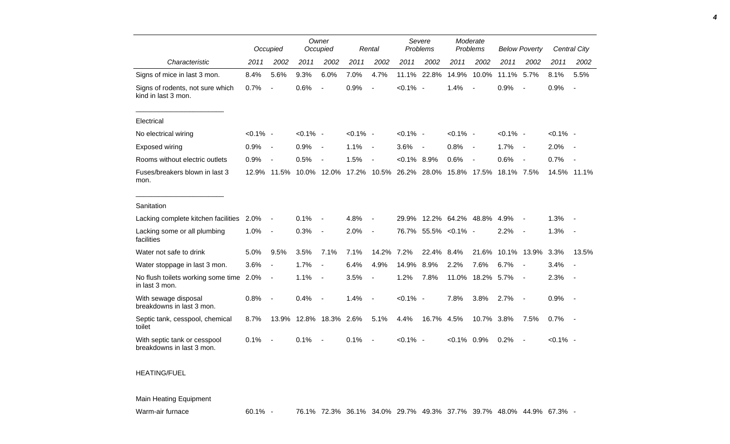|                                                           |             | Occupied                 |             | Owner<br>Occupied        |             | Rental                   |                | Severe<br>Problems       | Moderate<br>Problems |                          | <b>Below Poverty</b> |                          |             | Central City             |
|-----------------------------------------------------------|-------------|--------------------------|-------------|--------------------------|-------------|--------------------------|----------------|--------------------------|----------------------|--------------------------|----------------------|--------------------------|-------------|--------------------------|
| Characteristic                                            | 2011        | 2002                     | 2011        | 2002                     | 2011        | 2002                     | 2011           | 2002                     | 2011                 | 2002                     | 2011                 | 2002                     | 2011        | 2002                     |
| Signs of mice in last 3 mon.                              | 8.4%        | 5.6%                     | 9.3%        | 6.0%                     | 7.0%        | 4.7%                     | 11.1%          | 22.8%                    | 14.9%                | 10.0%                    | 11.1%                | 5.7%                     | 8.1%        | 5.5%                     |
| Signs of rodents, not sure which<br>kind in last 3 mon.   | 0.7%        | ÷,                       | 0.6%        |                          | 0.9%        | $\overline{a}$           | $< 0.1\%$ -    |                          | 1.4%                 |                          | 0.9%                 | $\overline{\phantom{a}}$ | 0.9%        | $\overline{\phantom{a}}$ |
| Electrical                                                |             |                          |             |                          |             |                          |                |                          |                      |                          |                      |                          |             |                          |
| No electrical wiring                                      | $< 0.1\%$ - |                          | $< 0.1\%$ - |                          | $< 0.1\%$ - |                          | $< 0.1\%$ -    |                          | $< 0.1\%$ -          |                          | $< 0.1\%$ -          |                          | $< 0.1\%$ - |                          |
| Exposed wiring                                            | 0.9%        | $\overline{\phantom{a}}$ | 0.9%        | $\blacksquare$           | 1.1%        | $\overline{\phantom{a}}$ | 3.6%           | $\overline{\phantom{a}}$ | 0.8%                 | $\overline{\phantom{a}}$ | 1.7%                 | $\sim$                   | 2.0%        | $\sim$                   |
| Rooms without electric outlets                            | 0.9%        | $\overline{\phantom{a}}$ | 0.5%        |                          | 1.5%        |                          | $< 0.1\%$ 8.9% |                          | 0.6%                 | $\blacksquare$           | 0.6%                 | $\overline{\phantom{a}}$ | 0.7%        |                          |
| Fuses/breakers blown in last 3<br>mon.                    | 12.9%       | 11.5%                    | 10.0%       | 12.0%                    | 17.2%       | 10.5%                    | 26.2%          | 28.0%                    | 15.8%                | 17.5%                    | 18.1% 7.5%           |                          |             | 14.5% 11.1%              |
| Sanitation                                                |             |                          |             |                          |             |                          |                |                          |                      |                          |                      |                          |             |                          |
| Lacking complete kitchen facilities 2.0%                  |             | $\overline{a}$           | 0.1%        |                          | 4.8%        |                          | 29.9%          |                          | 12.2% 64.2% 48.8%    |                          | 4.9%                 |                          | 1.3%        |                          |
| Lacking some or all plumbing<br>facilities                | 1.0%        | $\blacksquare$           | 0.3%        | $\overline{\phantom{a}}$ | 2.0%        | $\blacksquare$           | 76.7%          |                          | 55.5% < 0.1% -       |                          | 2.2%                 | $\blacksquare$           | 1.3%        | $\sim$                   |
| Water not safe to drink                                   | 5.0%        | 9.5%                     | 3.5%        | 7.1%                     | 7.1%        | 14.2%                    | 7.2%           | 22.4%                    | 8.4%                 | 21.6%                    | 10.1%                | 13.9%                    | 3.3%        | 13.5%                    |
| Water stoppage in last 3 mon.                             | 3.6%        | $\blacksquare$           | 1.7%        |                          | 6.4%        | 4.9%                     | 14.9%          | 8.9%                     | 2.2%                 | 7.6%                     | 6.7%                 | $\overline{\phantom{a}}$ | 3.4%        |                          |
| No flush toilets working some time<br>in last 3 mon.      | 2.0%        | $\overline{\phantom{a}}$ | 1.1%        | $\overline{\phantom{a}}$ | 3.5%        | $\blacksquare$           | 1.2%           | 7.8%                     | 11.0%                | 18.2%                    | 5.7%                 | $\overline{\phantom{a}}$ | 2.3%        |                          |
| With sewage disposal<br>breakdowns in last 3 mon.         | 0.8%        |                          | 0.4%        |                          | 1.4%        | $\blacksquare$           | $< 0.1\%$ -    |                          | 7.8%                 | 3.8%                     | 2.7%                 | $\overline{\phantom{a}}$ | 0.9%        | $\sim$ $-$               |
| Septic tank, cesspool, chemical<br>toilet                 | 8.7%        | 13.9%                    | 12.8%       | 18.3%                    | 2.6%        | 5.1%                     | 4.4%           | 16.7%                    | 4.5%                 | 10.7% 3.8%               |                      | 7.5%                     | 0.7%        | $\sim$ $-$               |
| With septic tank or cesspool<br>breakdowns in last 3 mon. | 0.1%        |                          | 0.1%        |                          | 0.1%        |                          | $< 0.1\%$ -    |                          | $< 0.1\%$ 0.9%       |                          | 0.2%                 | $\overline{\phantom{a}}$ | $< 0.1\%$ - |                          |

## HEATING/FUEL

## Main Heating Equipment

Warm-air furnace 60.1% - 76.1% 72.3% 36.1% 34.0% 29.7% 49.3% 37.7% 39.7% 48.0% 44.9% 67.3% -

*4*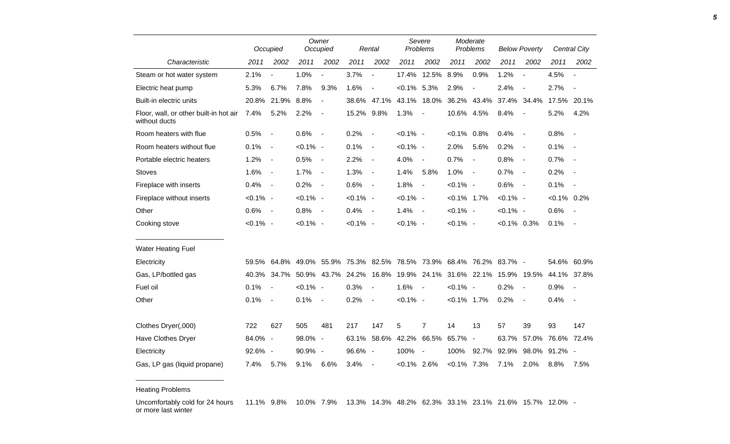|                                                         |             | Occupied                 |             | Owner<br>Occupied        |                   | Rental                   |                | Severe<br>Problems                                            | Moderate<br>Problems |                          | <b>Below Poverty</b> |                              |                   | <b>Central City</b>      |
|---------------------------------------------------------|-------------|--------------------------|-------------|--------------------------|-------------------|--------------------------|----------------|---------------------------------------------------------------|----------------------|--------------------------|----------------------|------------------------------|-------------------|--------------------------|
| Characteristic                                          | 2011        | 2002                     | 2011        | 2002                     | 2011              | 2002                     | 2011           | 2002                                                          | 2011                 | 2002                     | 2011                 | 2002                         | 2011              | 2002                     |
| Steam or hot water system                               | 2.1%        |                          | 1.0%        |                          | 3.7%              | $\overline{\phantom{a}}$ | 17.4%          | 12.5%                                                         | 8.9%                 | 0.9%                     | 1.2%                 | $\overline{\phantom{a}}$     | 4.5%              | $\overline{\phantom{a}}$ |
| Electric heat pump                                      | 5.3%        | 6.7%                     | 7.8%        | 9.3%                     | 1.6%              | $\overline{a}$           | $< 0.1\%$ 5.3% |                                                               | 2.9%                 | $\blacksquare$           | 2.4%                 | $\overline{\phantom{a}}$     | 2.7%              | $\overline{\phantom{a}}$ |
| Built-in electric units                                 | 20.8%       | 21.9%                    | 8.8%        | $\overline{a}$           | 38.6%             | 47.1%                    | 43.1%          | 18.0%                                                         | 36.2%                | 43.4%                    | 37.4%                | 34.4%                        | 17.5% 20.1%       |                          |
| Floor, wall, or other built-in hot air<br>without ducts | 7.4%        | 5.2%                     | 2.2%        | $\overline{\phantom{a}}$ | 15.2%             | 9.8%                     | 1.3%           | $\overline{\phantom{a}}$                                      | 10.6%                | 4.5%                     | 8.4%                 |                              | 5.2%              | 4.2%                     |
| Room heaters with flue                                  | 0.5%        | $\overline{\phantom{a}}$ | 0.6%        | $\overline{\phantom{a}}$ | 0.2%              | $\overline{\phantom{a}}$ | $< 0.1\%$ -    |                                                               | $< 0.1\%$            | 0.8%                     | 0.4%                 | $\overline{\phantom{a}}$     | 0.8%              | $\blacksquare$           |
| Room heaters without flue                               | 0.1%        | $\overline{\phantom{a}}$ | $< 0.1\%$ - |                          | 0.1%              | $\overline{\phantom{a}}$ | $< 0.1\%$ -    |                                                               | 2.0%                 | 5.6%                     | 0.2%                 | $\qquad \qquad \blacksquare$ | 0.1%              |                          |
| Portable electric heaters                               | 1.2%        | $\blacksquare$           | 0.5%        | $\overline{\phantom{a}}$ | 2.2%              | $\blacksquare$           | 4.0%           | $\blacksquare$                                                | 0.7%                 | $\blacksquare$           | 0.8%                 | $\blacksquare$               | 0.7%              | $\overline{\phantom{a}}$ |
| <b>Stoves</b>                                           | 1.6%        | $\overline{\phantom{a}}$ | 1.7%        | $\blacksquare$           | 1.3%              | $\blacksquare$           | 1.4%           | 5.8%                                                          | 1.0%                 | $\blacksquare$           | 0.7%                 | $\blacksquare$               | 0.2%              | $\blacksquare$           |
| Fireplace with inserts                                  | 0.4%        | $\overline{\phantom{a}}$ | 0.2%        | $\overline{\phantom{a}}$ | 0.6%              | $\blacksquare$           | 1.8%           | $\blacksquare$                                                | $< 0.1\%$ -          |                          | 0.6%                 | $\blacksquare$               | 0.1%              | $\blacksquare$           |
| Fireplace without inserts                               | $< 0.1\%$ - |                          | $< 0.1\%$ - |                          | $< 0.1\%$ -       |                          | $< 0.1\%$ -    |                                                               | $< 0.1\%$ 1.7%       |                          | $< 0.1\%$ -          |                              | $< 0.1\%$ 0.2%    |                          |
| Other                                                   | 0.6%        | $\overline{\phantom{a}}$ | 0.8%        | $\overline{\phantom{a}}$ | 0.4%              | $\overline{\phantom{a}}$ | 1.4%           | $\blacksquare$                                                | $< 0.1\%$ -          |                          | $< 0.1\%$ -          |                              | 0.6%              |                          |
| Cooking stove                                           | $< 0.1\%$ - |                          | $< 0.1\%$ - |                          | $< 0.1\%$ -       |                          | $< 0.1\%$ -    |                                                               | $< 0.1\%$ -          |                          | $< 0.1\%$ 0.3%       |                              | 0.1%              | $\overline{\phantom{a}}$ |
| <b>Water Heating Fuel</b>                               |             |                          |             |                          |                   |                          |                |                                                               |                      |                          |                      |                              |                   |                          |
| Electricity                                             | 59.5%       |                          |             |                          |                   |                          |                | 64.8% 49.0% 55.9% 75.3% 82.5% 78.5% 73.9% 68.4% 76.2% 83.7% - |                      |                          |                      |                              | 54.6%             | 60.9%                    |
| Gas, LP/bottled gas                                     | 40.3%       | 34.7%                    |             |                          | 50.9% 43.7% 24.2% | 16.8%                    |                | 19.9% 24.1%                                                   |                      | 31.6% 22.1% 15.9% 19.5%  |                      |                              | 44.1% 37.8%       |                          |
| Fuel oil                                                | 0.1%        | $\overline{\phantom{a}}$ | $< 0.1\%$ - |                          | 0.3%              | $\blacksquare$           | 1.6%           | $\blacksquare$                                                | $< 0.1\%$ -          |                          | 0.2%                 | $\overline{\phantom{a}}$     | 0.9%              | $\overline{\phantom{a}}$ |
| Other                                                   | 0.1%        | $\overline{\phantom{a}}$ | 0.1%        | $\overline{\phantom{a}}$ | 0.2%              | $\overline{\phantom{a}}$ | $< 0.1\%$ -    |                                                               | $< 0.1\%$ 1.7%       |                          | 0.2%                 | $\blacksquare$               | 0.4%              | $\overline{\phantom{a}}$ |
| Clothes Dryer(,000)                                     | 722         | 627                      | 505         | 481                      | 217               | 147                      | 5              | $\overline{7}$                                                | 14                   | 13                       | 57                   | 39                           | 93                | 147                      |
| Have Clothes Dryer                                      | 84.0%       | $\overline{\phantom{a}}$ | 98.0%       | $\overline{\phantom{a}}$ | 63.1%             | 58.6%                    | 42.2%          | 66.5%                                                         | 65.7%                | $\overline{\phantom{a}}$ | 63.7%                |                              | 57.0% 76.6% 72.4% |                          |
| Electricity                                             | 92.6%       | $\overline{\phantom{a}}$ | 90.9%       | $\overline{\phantom{a}}$ | 96.6%             | $\overline{\phantom{a}}$ | 100%           | $\overline{\phantom{a}}$                                      | 100%                 | 92.7%                    | 92.9%                | 98.0%                        | $91.2\%$ -        |                          |
| Gas, LP gas (liquid propane)                            | 7.4%        | 5.7%                     | 9.1%        | 6.6%                     | 3.4%              | $\overline{\phantom{a}}$ | $< 0.1\%$ 2.6% |                                                               | $< 0.1\%$ 7.3%       |                          | 7.1%                 | 2.0%                         | 8.8%              | 7.5%                     |

Heating Problems

\_\_\_\_\_\_\_\_\_\_\_\_\_\_\_\_\_\_\_\_\_\_\_

Uncomfortably cold for 24 hours or more last winter 11.1% 9.8% 10.0% 7.9% 13.3% 14.3% 48.2% 62.3% 33.1% 23.1% 21.6% 15.7% 12.0% -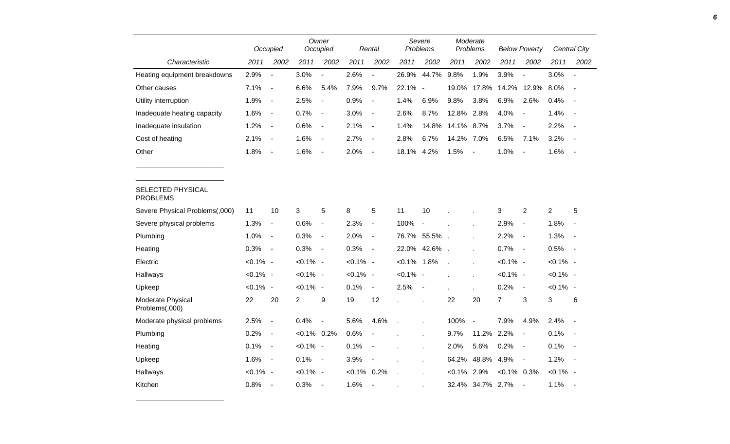|                                      |             | Occupied                 |                | Owner<br>Occupied        |             | Rental                   |                | Severe<br>Problems       |                | Moderate<br>Problems     |                | <b>Below Poverty</b>     |                | <b>Central City</b>      |
|--------------------------------------|-------------|--------------------------|----------------|--------------------------|-------------|--------------------------|----------------|--------------------------|----------------|--------------------------|----------------|--------------------------|----------------|--------------------------|
| Characteristic                       | 2011        | 2002                     | 2011           | 2002                     | 2011        | 2002                     | 2011           | 2002                     | 2011           | 2002                     | 2011           | 2002                     | 2011           | 2002                     |
| Heating equipment breakdowns         | 2.9%        | $\overline{\phantom{a}}$ | 3.0%           | $\blacksquare$           | 2.6%        | $\overline{a}$           | 26.9%          | 44.7%                    | 9.8%           | 1.9%                     | 3.9%           | $\blacksquare$           | 3.0%           | $\blacksquare$           |
| Other causes                         | 7.1%        | $\blacksquare$           | 6.6%           | 5.4%                     | 7.9%        | 9.7%                     | 22.1%          | $\overline{\phantom{a}}$ | 19.0%          | 17.8%                    | 14.2%          | 12.9%                    | 8.0%           |                          |
| Utility interruption                 | 1.9%        | $\blacksquare$           | 2.5%           | $\blacksquare$           | 0.9%        | $\overline{\phantom{a}}$ | 1.4%           | 6.9%                     | 9.8%           | 3.8%                     | 6.9%           | 2.6%                     | 0.4%           | $\overline{\phantom{a}}$ |
| Inadequate heating capacity          | 1.6%        | $\overline{\phantom{a}}$ | 0.7%           | $\blacksquare$           | 3.0%        | $\overline{\phantom{a}}$ | 2.6%           | 8.7%                     | 12.8%          | 2.8%                     | 4.0%           | $\overline{\phantom{a}}$ | 1.4%           | $\blacksquare$           |
| Inadequate insulation                | 1.2%        | $\blacksquare$           | 0.6%           | $\blacksquare$           | 2.1%        | $\blacksquare$           | 1.4%           | 14.8%                    | 14.1%          | 8.7%                     | 3.7%           | $\blacksquare$           | 2.2%           | $\blacksquare$           |
| Cost of heating                      | 2.1%        | $\overline{\phantom{a}}$ | 1.6%           | $\overline{\phantom{a}}$ | 2.7%        | $\overline{\phantom{a}}$ | 2.8%           | 6.7%                     | 14.2%          | 7.0%                     | 6.5%           | 7.1%                     | 3.2%           | $\overline{\phantom{a}}$ |
| Other                                | 1.8%        | $\overline{\phantom{a}}$ | 1.6%           | $\overline{\phantom{a}}$ | 2.0%        | $\overline{\phantom{a}}$ | 18.1%          | 4.2%                     | 1.5%           | $\overline{\phantom{a}}$ | 1.0%           | $\overline{\phantom{a}}$ | 1.6%           | $\blacksquare$           |
|                                      |             |                          |                |                          |             |                          |                |                          |                |                          |                |                          |                |                          |
| SELECTED PHYSICAL<br><b>PROBLEMS</b> |             |                          |                |                          |             |                          |                |                          |                |                          |                |                          |                |                          |
| Severe Physical Problems(,000)       | 11          | 10                       | 3              | 5                        | 8           | 5                        | 11             | 10                       |                |                          | 3              | $\overline{2}$           | $\overline{2}$ | 5                        |
| Severe physical problems             | 1.3%        | $\blacksquare$           | 0.6%           | $\overline{\phantom{a}}$ | 2.3%        | $\blacksquare$           | 100%           | $\overline{\phantom{a}}$ |                |                          | 2.9%           | $\blacksquare$           | 1.8%           |                          |
| Plumbing                             | 1.0%        | $\blacksquare$           | 0.3%           | $\blacksquare$           | 2.0%        | $\blacksquare$           |                | 76.7% 55.5%.             |                |                          | 2.2%           | $\blacksquare$           | 1.3%           | $\overline{\phantom{a}}$ |
| Heating                              | 0.3%        | $\overline{\phantom{a}}$ | 0.3%           | $\overline{\phantom{a}}$ | 0.3%        | $\blacksquare$           |                | 22.0% 42.6% .            |                |                          | 0.7%           | $\blacksquare$           | 0.5%           | $\blacksquare$           |
| Electric                             | $< 0.1\%$ - |                          | $< 0.1\%$ -    |                          | $< 0.1\%$ - |                          | $< 0.1\%$ 1.8% |                          | $\overline{a}$ |                          | $< 0.1\%$ -    |                          | $< 0.1\%$ -    |                          |
| Hallways                             | $< 0.1\%$ - |                          | $< 0.1\%$ -    |                          | $< 0.1\%$ - |                          | $< 0.1\%$ -    |                          |                |                          | $< 0.1\%$ -    |                          | $< 0.1\%$ -    |                          |
| Upkeep                               | $< 0.1\%$ - |                          | $< 0.1\%$ -    |                          | 0.1%        | $\blacksquare$           | 2.5%           | $\blacksquare$           |                |                          | 0.2%           | $\blacksquare$           | $< 0.1\%$ -    |                          |
| Moderate Physical<br>Problems(,000)  | 22          | 20                       | $\overline{2}$ | 9                        | 19          | 12                       |                |                          | 22             | 20                       | $\overline{7}$ | 3                        | 3              | 6                        |
| Moderate physical problems           | 2.5%        | $\blacksquare$           | 0.4%           | $\blacksquare$           | 5.6%        | 4.6%                     | J.             | Ĭ.                       | 100%           | $\overline{\phantom{a}}$ | 7.9%           | 4.9%                     | 2.4%           | $\blacksquare$           |
| Plumbing                             | 0.2%        | $\overline{\phantom{a}}$ | $< 0.1\%$ 0.2% |                          | 0.6%        | $\overline{a}$           |                |                          | 9.7%           | 11.2%                    | 2.2%           | $\blacksquare$           | 0.1%           | $\overline{\phantom{a}}$ |
| Heating                              | 0.1%        | $\overline{\phantom{a}}$ | $< 0.1\%$ -    |                          | 0.1%        | $\blacksquare$           |                |                          | 2.0%           | 5.6%                     | 0.2%           | $\blacksquare$           | 0.1%           | $\blacksquare$           |
| Upkeep                               | 1.6%        | $\sim$                   | 0.1%           | $\overline{\phantom{a}}$ | 3.9%        | $\blacksquare$           |                |                          | 64.2%          | 48.8%                    | 4.9%           | $\overline{\phantom{a}}$ | 1.2%           | $\overline{\phantom{a}}$ |
| Hallways                             | $< 0.1\%$ - |                          | $< 0.1\%$ -    |                          | $< 0.1\%$   | 0.2%                     | $\overline{a}$ |                          | $< 0.1\%$      | 2.9%                     | $< 0.1\%$ 0.3% |                          | $< 0.1\%$ -    |                          |
| Kitchen                              | 0.8%        | $\overline{\phantom{a}}$ | 0.3%           | $\overline{\phantom{a}}$ | 1.6%        | $\overline{\phantom{a}}$ |                |                          | 32.4%          | 34.7% 2.7%               |                | $\blacksquare$           | 1.1%           |                          |

\_\_\_\_\_\_\_\_\_\_\_\_\_\_\_\_\_\_\_\_\_\_\_

 $\overline{\phantom{0}}$